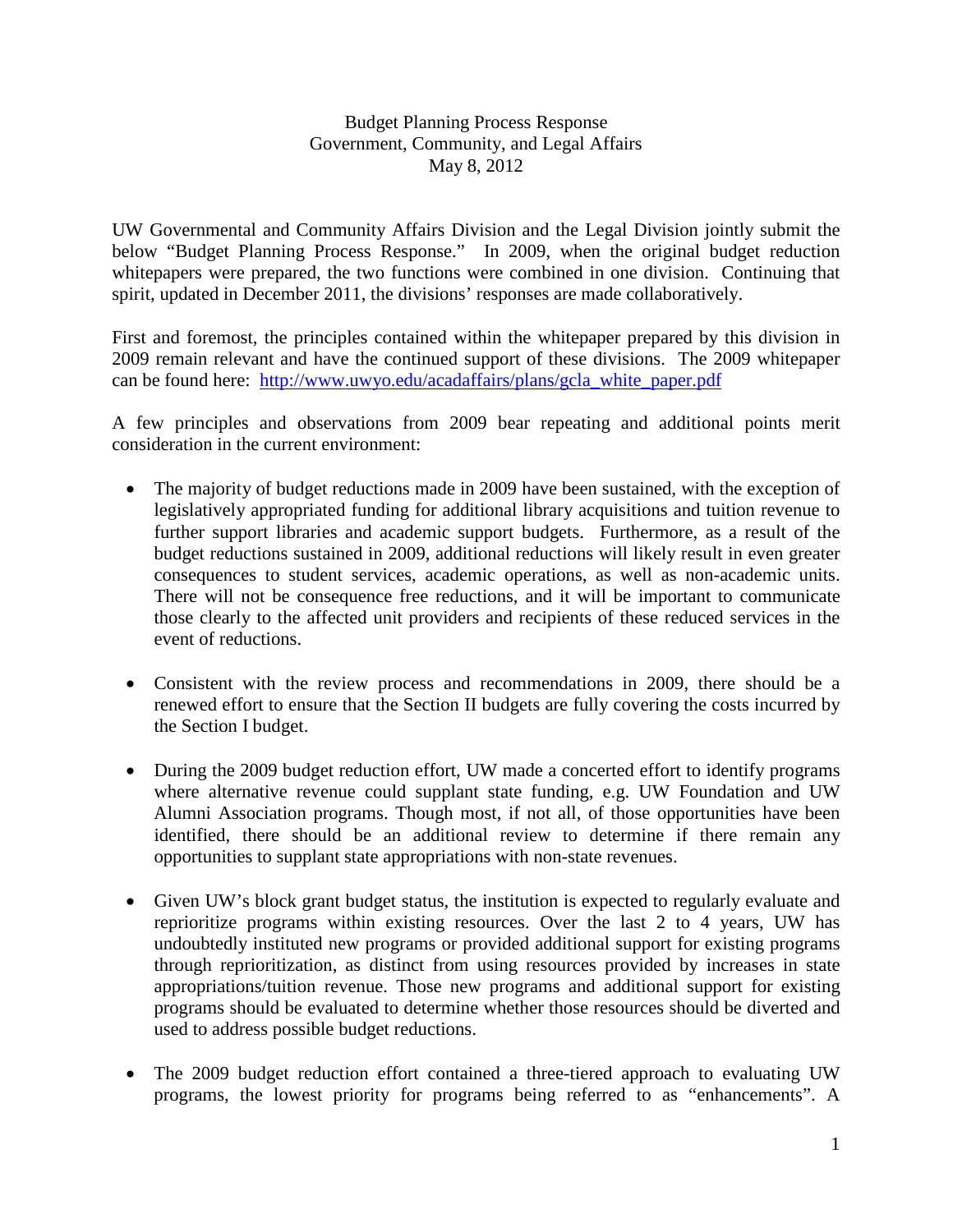## Budget Planning Process Response Government, Community, and Legal Affairs May 8, 2012

UW Governmental and Community Affairs Division and the Legal Division jointly submit the below "Budget Planning Process Response." In 2009, when the original budget reduction whitepapers were prepared, the two functions were combined in one division. Continuing that spirit, updated in December 2011, the divisions' responses are made collaboratively.

First and foremost, the principles contained within the whitepaper prepared by this division in 2009 remain relevant and have the continued support of these divisions. The 2009 whitepaper can be found here: [http://www.uwyo.edu/acadaffairs/plans/gcla\\_white\\_paper.pdf](http://www.uwyo.edu/acadaffairs/plans/gcla_white_paper.pdf)

A few principles and observations from 2009 bear repeating and additional points merit consideration in the current environment:

- The majority of budget reductions made in 2009 have been sustained, with the exception of legislatively appropriated funding for additional library acquisitions and tuition revenue to further support libraries and academic support budgets. Furthermore, as a result of the budget reductions sustained in 2009, additional reductions will likely result in even greater consequences to student services, academic operations, as well as non-academic units. There will not be consequence free reductions, and it will be important to communicate those clearly to the affected unit providers and recipients of these reduced services in the event of reductions.
- Consistent with the review process and recommendations in 2009, there should be a renewed effort to ensure that the Section II budgets are fully covering the costs incurred by the Section I budget.
- During the 2009 budget reduction effort, UW made a concerted effort to identify programs where alternative revenue could supplant state funding, e.g. UW Foundation and UW Alumni Association programs. Though most, if not all, of those opportunities have been identified, there should be an additional review to determine if there remain any opportunities to supplant state appropriations with non-state revenues.
- Given UW's block grant budget status, the institution is expected to regularly evaluate and reprioritize programs within existing resources. Over the last 2 to 4 years, UW has undoubtedly instituted new programs or provided additional support for existing programs through reprioritization, as distinct from using resources provided by increases in state appropriations/tuition revenue. Those new programs and additional support for existing programs should be evaluated to determine whether those resources should be diverted and used to address possible budget reductions.
- The 2009 budget reduction effort contained a three-tiered approach to evaluating UW programs, the lowest priority for programs being referred to as "enhancements". A